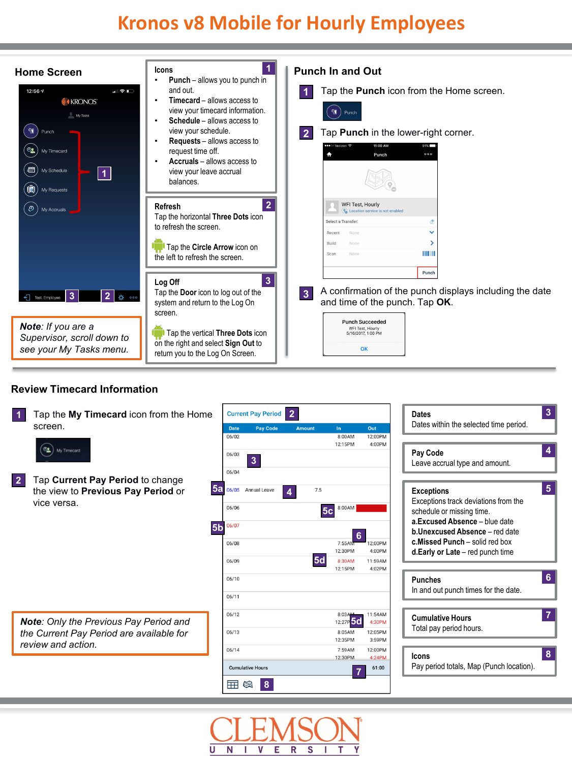

### **Review Timecard Information**

| $\vert$ 1 | Tap the My Timecard icon from the Home<br>screen.                                                               | <b>Date</b><br>06/02    | <b>Current Pay Period</b><br><b>Pay Code</b> | $\overline{2}$<br><b>Amount</b> | In<br>8:00AM                                        | Out<br>12:00PM                         | $\overline{3}$<br><b>Dates</b><br>Dates within the selected time period.                                                                      |
|-----------|-----------------------------------------------------------------------------------------------------------------|-------------------------|----------------------------------------------|---------------------------------|-----------------------------------------------------|----------------------------------------|-----------------------------------------------------------------------------------------------------------------------------------------------|
|           | $\alpha$<br>My Timecard                                                                                         | 06/03<br>06/04          | $\overline{3}$                               |                                 | 12:15PM                                             | 4:00PM                                 | 4<br>Pay Code<br>Leave accrual type and amount.                                                                                               |
| 2         | Tap Current Pay Period to change<br>5a<br>the view to Previous Pay Period or<br>vice versa.                     | 06/05<br>06/06          | Annual Leave                                 | 7.5<br>4                        | 8:00AM<br>5 <sub>c</sub>                            |                                        | $\sqrt{5}$<br><b>Exceptions</b><br>Exceptions track deviations from the<br>schedule or missing time.                                          |
|           | 5 <sub>b</sub>                                                                                                  | 06/07<br>06/08<br>06/09 |                                              | <b>5d</b>                       | 6<br>7:55AM<br>12:30PM<br>8:30AM                    | 12:00PM<br>4:00PM<br>11:59AM           | a.Excused Absence - blue date<br><b>b.Unexcused Absence - red date</b><br>c. Missed Punch - solid red box<br>d.Early or Late - red punch time |
|           |                                                                                                                 | 06/10<br>06/11          |                                              |                                 | 12:15PM                                             | 4:02PM                                 | 6<br><b>Punches</b><br>In and out punch times for the date.                                                                                   |
|           | <b>Note:</b> Only the Previous Pay Period and<br>the Current Pay Period are available for<br>review and action. | 06/12<br>06/13          |                                              |                                 | 8:03AM<br>12:27P <sub>5d</sub><br>8:05AM<br>12:35PM | 11:54AM<br>4:30PM<br>12:05PM<br>3:59PM | 7<br><b>Cumulative Hours</b><br>Total pay period hours.                                                                                       |
|           |                                                                                                                 | 06/14<br>m              | <b>Cumulative Hours</b><br>8<br>欧            |                                 | 7:59AM<br>12:30PM                                   | 12:00PM<br>4:24PM<br>61:00             | 8<br>Icons<br>Pay period totals, Map (Punch location).                                                                                        |

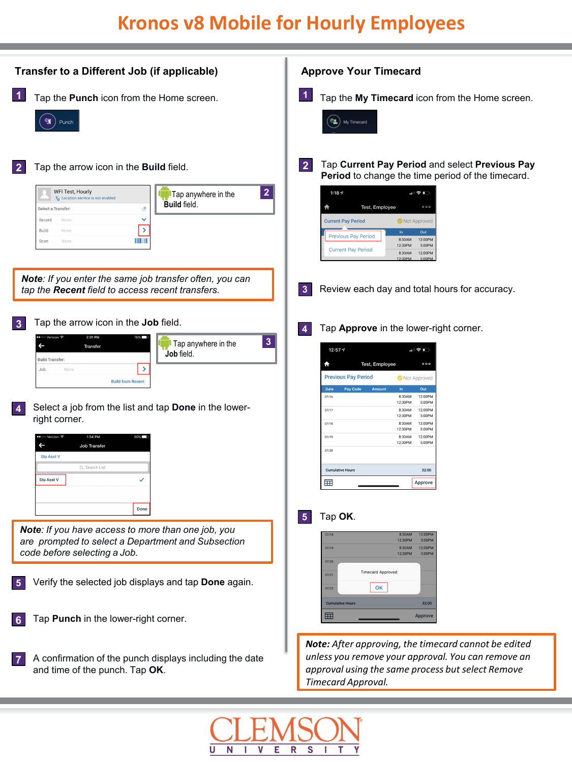| Transfer to a Different Job (if applicable)                                                                                                                                                                                                                                                                                                                                                                                                                              | <b>Approve Your Timecard</b>                                                                                                                                                                                                                                                                                                                                                                                                                                                                                          |  |  |  |
|--------------------------------------------------------------------------------------------------------------------------------------------------------------------------------------------------------------------------------------------------------------------------------------------------------------------------------------------------------------------------------------------------------------------------------------------------------------------------|-----------------------------------------------------------------------------------------------------------------------------------------------------------------------------------------------------------------------------------------------------------------------------------------------------------------------------------------------------------------------------------------------------------------------------------------------------------------------------------------------------------------------|--|--|--|
| $\vert$ 1<br>Tap the Punch icon from the Home screen.<br>୩<br>Punch                                                                                                                                                                                                                                                                                                                                                                                                      | $\vert$ 1<br>Tap the My Timecard icon from the Home screen.<br><sup>OL</sup> My Timecard                                                                                                                                                                                                                                                                                                                                                                                                                              |  |  |  |
| Tap the arrow icon in the <b>Build</b> field.<br>$\overline{2}$<br>WFI Test, Hourly<br>$\overline{2}$<br>Tap anywhere in the<br>Cocation service is not enabled<br><b>Build field.</b><br>ჟ<br>Select a Transfer:<br>v<br>Recent<br>None<br>$\rightarrow$<br>Build<br>None<br><b>THE RE</b><br>Scan<br>None<br>Note: If you enter the same job transfer often, you can<br>tap the Recent field to access recent transfers.                                               | Tap Current Pay Period and select Previous Pay<br>$\overline{2}$<br>Period to change the time period of the timecard.<br>1:18 $\sim$<br>山金田<br>₳<br>Test, Employee<br>000<br><b>Current Pay Period</b><br>Not Approved<br>In<br>Out<br><b>Previous Pay Period</b><br>8:30AM<br>12:00PM<br>5:00PM<br>12:30PM<br><b>Current Pay Period</b><br>12:00PM<br>8:30AM<br>12:30PM<br>5:00PM<br>Review each day and total hours for accuracy.<br>$\mathbf{3}$                                                                   |  |  |  |
| Tap the arrow icon in the Job field.<br>$\overline{3}$<br>2:01 PM<br>$\mathbf{3}$<br>Tap anywhere in the<br>$\overline{\phantom{0}}$<br>Transfer<br>Job field.<br><b>Build Transfer</b><br>$\rightarrow$<br>Job<br>None<br><b>Build from Recent</b><br>Select a job from the list and tap Done in the lower-<br>$\vert 4 \vert$<br>right corner.<br>1:54 PM<br>$\overline{\phantom{0}}$<br>Job Transfer<br><b>Stu Asst V</b><br>Q Search List<br>Stu Asst V<br>✓<br>Done | Tap Approve in the lower-right corner.<br>$\overline{4}$<br>$12:57$ $\triangleleft$<br>$\blacksquare$ $\odot$ $\blacksquare$<br>Test, Employee<br>₳<br>000<br><b>Previous Pay Period</b><br>Not Approved<br>Date<br>Pay Code<br>Amoun<br>Out<br>07/16<br>8:30AM<br>12:00PM<br>12:30PM<br>5:00PM<br>07/17<br>8:30AM<br>12:00PM<br>12:30PM<br>5:00PM<br>12:00PM<br>07/18<br>8:30AM<br>5:00PM<br>12:30PM<br>07/19<br>8:30AM<br>12:00PM<br>12:30PM<br>5:00PM<br>07/20<br><b>Cumulative Hours</b><br>32:00<br>囲<br>Approve |  |  |  |
| Note: If you have access to more than one job, you<br>are prompted to select a Department and Subsection<br>code before selecting a Job.<br>Verify the selected job displays and tap Done again.<br>5<br>Tap Punch in the lower-right corner.<br>6                                                                                                                                                                                                                       | Tap OK.<br>$\sqrt{5}$<br>07/18<br>12:00PM<br>8:30AM<br>12:30PM<br>5:00PM<br>07/19<br>8:30AM<br>12:00PM<br>12:30PM<br>5:00PM<br>07/20<br><b>Timecard Approved</b><br>07/21<br>OK<br>07/22<br><b>Cumulative Hours</b><br>32:00<br>囲<br><b>Approve</b>                                                                                                                                                                                                                                                                   |  |  |  |
| A confirmation of the punch displays including the date<br>$\overline{7}$<br>and time of the punch. Tap OK.                                                                                                                                                                                                                                                                                                                                                              | Note: After approving, the timecard cannot be edited<br>unless you remove your approval. You can remove an<br>approval using the same process but select Remove<br>Timecard Approval.                                                                                                                                                                                                                                                                                                                                 |  |  |  |

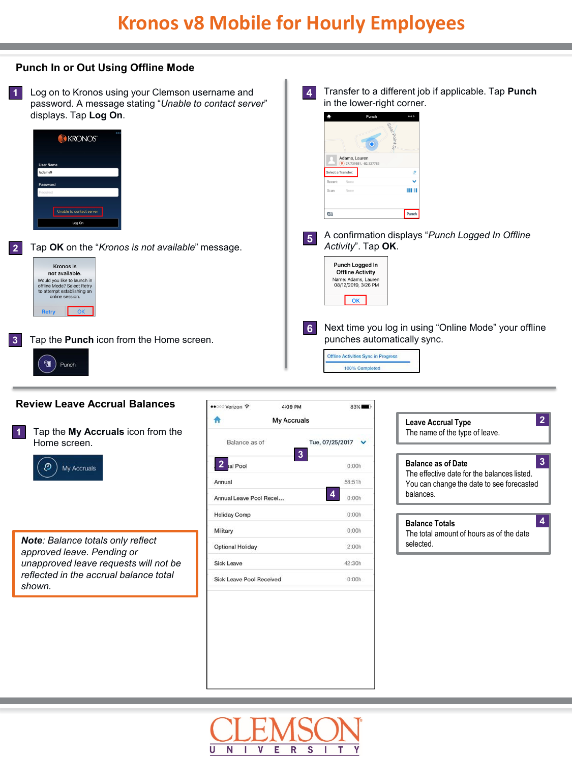#### **Punch In or Out Using Offline Mode**

Transfer to a different job if applicable. Tap **Punch** 1 Log on to Kronos using your Clemson username and **4** in the lower-right corner. password. A message stating "*Unable to contact server*" displays. Tap **Log On**. **KRONOS** Adams, Lauren Select a Transfer: Recent IIIII Unable to contact server q Punch Log On A confirmation displays "*Punch Logged In Offline Activity*". Tap **OK**. **<sup>5</sup> 2** Tap **OK** on the "*Kronos is not available*" message. Punch Logged In Kronos is **Offline Activity** not available. Would you like to launch in<br>offline Mode? Select Retry<br>to attempt establishing an<br>online session. Name: Adams, Lauren<br>08/12/2019, 3:26 PM  $\overline{\mathsf{OK}}$ **6**Next time you log in using "Online Mode" your offline punches automatically sync. **3** Tap the **Punch** icon from the Home screen. Offline Activities Sync in Progress **QT** Punch 100% Completed

#### **Review Leave Accrual Balances**

Tap the **My Accruals** icon from the Home screen. **1**



*Note: Balance totals only reflect approved leave. Pending or unapproved leave requests will not be reflected in the accrual balance total shown.*

| ● 000 Verizon →                 | 4:09 PM     | 83%             |  |  |  |
|---------------------------------|-------------|-----------------|--|--|--|
|                                 | My Accruals |                 |  |  |  |
| Balance as of                   |             | Tue, 07/25/2017 |  |  |  |
| 2 al Pool                       | 3           | 0:00h           |  |  |  |
| Annual                          |             | 58:51h          |  |  |  |
| Annual Leave Pool Recei         |             | 4<br>0:00h      |  |  |  |
| <b>Holiday Comp</b>             |             | 0:00h           |  |  |  |
| Military                        |             | 0:00h           |  |  |  |
| <b>Optional Holiday</b>         |             | 2:00h           |  |  |  |
| Sick Leave                      |             | 42:30h          |  |  |  |
| <b>Sick Leave Pool Received</b> |             | 0:00h           |  |  |  |

**Balance as of Date** The effective date for the balances listed. You can change the date to see forecasted balances. **3 Leave Accrual Type** The name of the type of leave. **2 Balance Totals** The total amount of hours as of the date selected. **4**